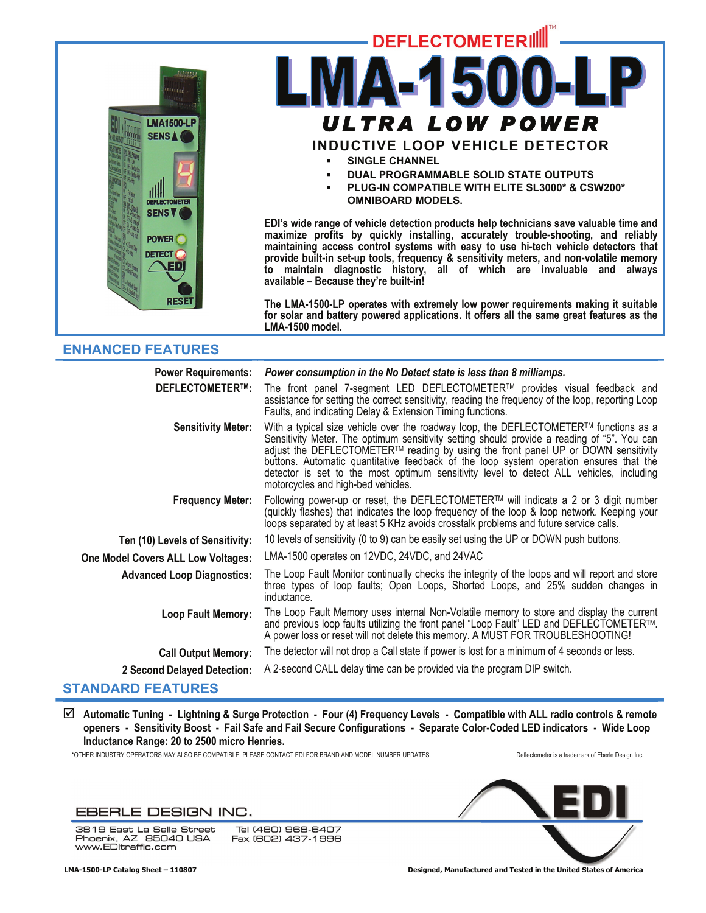

# **DEFLECTOMETERIL** *ULTRA LOW POWER* **INDUCTIVE LOOP VEHICLE DETECTOR SINGLE CHANNEL**

- **DUAL PROGRAMMABLE SOLID STATE OUTPUTS**
- **PLUG-IN COMPATIBLE WITH ELITE SL3000\* & CSW200\* OMNIBOARD MODELS.**

**EDI's wide range of vehicle detection products help technicians save valuable time and maximize profits by quickly installing, accurately trouble-shooting, and reliably maintaining access control systems with easy to use hi-tech vehicle detectors that provide built-in set-up tools, frequency & sensitivity meters, and non-volatile memory to maintain diagnostic history, all of which are invaluable and always available – Because they're built-in!** 

**The LMA-1500-LP operates with extremely low power requirements making it suitable for solar and battery powered applications. It offers all the same great features as the LMA-1500 model.** 

# **ENHANCED FEATURES**

| <b>Power Requirements:</b>         | Power consumption in the No Detect state is less than 8 milliamps.                                                                                                                                                                                                                                                                                                                                                                                                                                  |
|------------------------------------|-----------------------------------------------------------------------------------------------------------------------------------------------------------------------------------------------------------------------------------------------------------------------------------------------------------------------------------------------------------------------------------------------------------------------------------------------------------------------------------------------------|
| <b>DEFLECTOMETER™:</b>             | The front panel 7-segment LED DEFLECTOMETER™ provides visual feedback and<br>assistance for setting the correct sensitivity, reading the frequency of the loop, reporting Loop<br>Faults, and indicating Delay & Extension Timing functions.                                                                                                                                                                                                                                                        |
| <b>Sensitivity Meter:</b>          | With a typical size vehicle over the roadway loop, the DEFLECTOMETER™ functions as a<br>Sensitivity Meter. The optimum sensitivity setting should provide a reading of "5". You can<br>adjust the DEFLECTOMETER™ reading by using the front panel UP or DOWN sensitivity<br>buttons. Automatic quantitative feedback of the loop system operation ensures that the<br>detector is set to the most optimum sensitivity level to detect ALL vehicles, including<br>motorcycles and high-bed vehicles. |
| <b>Frequency Meter:</b>            | Following power-up or reset, the DEFLECTOMETER™ will indicate a 2 or 3 digit number<br>(quickly flashes) that indicates the loop frequency of the loop & loop network. Keeping your<br>loops separated by at least 5 KHz avoids crosstalk problems and future service calls.                                                                                                                                                                                                                        |
| Ten (10) Levels of Sensitivity:    | 10 levels of sensitivity (0 to 9) can be easily set using the UP or DOWN push buttons.                                                                                                                                                                                                                                                                                                                                                                                                              |
| One Model Covers ALL Low Voltages: | LMA-1500 operates on 12VDC, 24VDC, and 24VAC                                                                                                                                                                                                                                                                                                                                                                                                                                                        |
| <b>Advanced Loop Diagnostics:</b>  | The Loop Fault Monitor continually checks the integrity of the loops and will report and store<br>three types of loop faults; Open Loops, Shorted Loops, and 25% sudden changes in<br>inductance.                                                                                                                                                                                                                                                                                                   |
| <b>Loop Fault Memory:</b>          | The Loop Fault Memory uses internal Non-Volatile memory to store and display the current<br>and previous loop faults utilizing the front panel "Loop Fault" LED and DEFLECTOMETER™.<br>A power loss or reset will not delete this memory. A MUST FOR TROUBLESHOOTING!                                                                                                                                                                                                                               |
| <b>Call Output Memory:</b>         | The detector will not drop a Call state if power is lost for a minimum of 4 seconds or less.                                                                                                                                                                                                                                                                                                                                                                                                        |
| 2 Second Delayed Detection:        | A 2-second CALL delay time can be provided via the program DIP switch.                                                                                                                                                                                                                                                                                                                                                                                                                              |
| <b>STANDARD FEATURES</b>           |                                                                                                                                                                                                                                                                                                                                                                                                                                                                                                     |

; **Automatic Tuning - Lightning & Surge Protection - Four (4) Frequency Levels - Compatible with ALL radio controls & remote openers - Sensitivity Boost - Fail Safe and Fail Secure Configurations - Separate Color-Coded LED indicators - Wide Loop Inductance Range: 20 to 2500 micro Henries.** 

\*OTHER INDUSTRY OPERATORS MAY ALSO BE COMPATIBLE, PLEASE CONTACT EDI FOR BRAND AND MODEL NUMBER UPDATES. Deflectometer is a trademark of Eberle Design Inc.

## EBERLE DESIGN INC.

3819 East La Salle Street<br>Phoenix, AZ 85040 USA<br>www.ED|traffic.com

Tel (480) 968-6407 Fax (602) 437-1996



 **LMA-1500-LP Catalog Sheet – 110807 Designed, Manufactured and Tested in the United States of America**